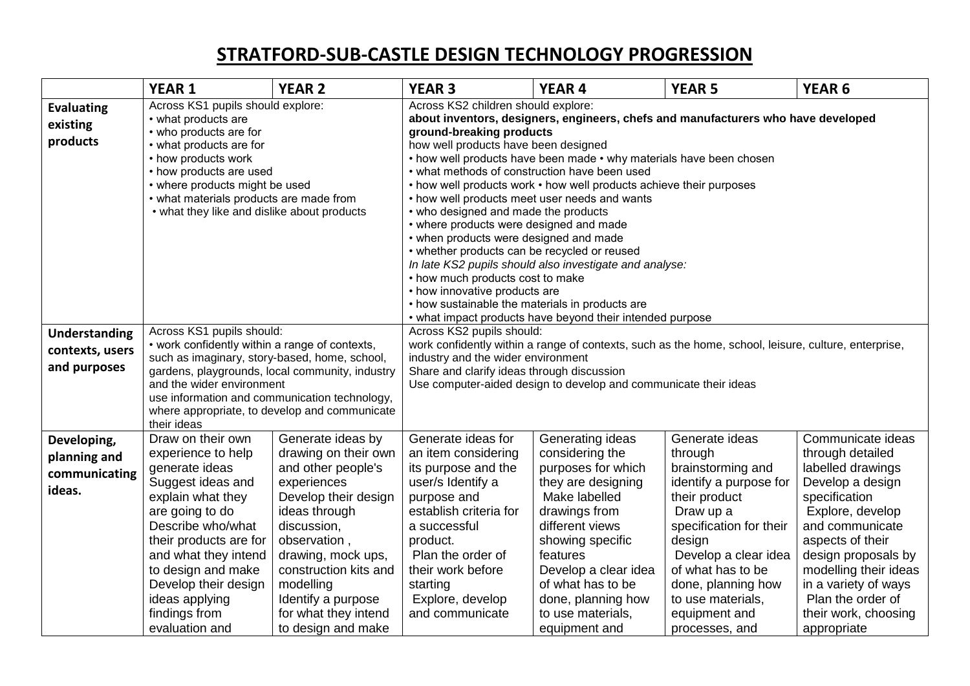## **STRATFORD-SUB-CASTLE DESIGN TECHNOLOGY PROGRESSION**

|                                                         | <b>YEAR 1</b>                                                                                                                                                                                                                                                                                                                 | <b>YEAR 2</b>                                                                                                                                                                                                                                                                          | <b>YEAR 3</b>                                                                                                                                                                                                                                                                                                                                                                                                                                                                                                                                                                                                                                                                                                                                                                                                                                                             | <b>YEAR 4</b>                                                                                                                                                                                                                                                                 | <b>YEAR 5</b>                                                                                                                                                                                                                                                          | <b>YEAR 6</b>                                                                                                                                                                                                                                                                                  |  |
|---------------------------------------------------------|-------------------------------------------------------------------------------------------------------------------------------------------------------------------------------------------------------------------------------------------------------------------------------------------------------------------------------|----------------------------------------------------------------------------------------------------------------------------------------------------------------------------------------------------------------------------------------------------------------------------------------|---------------------------------------------------------------------------------------------------------------------------------------------------------------------------------------------------------------------------------------------------------------------------------------------------------------------------------------------------------------------------------------------------------------------------------------------------------------------------------------------------------------------------------------------------------------------------------------------------------------------------------------------------------------------------------------------------------------------------------------------------------------------------------------------------------------------------------------------------------------------------|-------------------------------------------------------------------------------------------------------------------------------------------------------------------------------------------------------------------------------------------------------------------------------|------------------------------------------------------------------------------------------------------------------------------------------------------------------------------------------------------------------------------------------------------------------------|------------------------------------------------------------------------------------------------------------------------------------------------------------------------------------------------------------------------------------------------------------------------------------------------|--|
| <b>Evaluating</b><br>existing<br>products               | Across KS1 pupils should explore:<br>• what products are<br>• who products are for<br>• what products are for<br>• how products work<br>• how products are used<br>• where products might be used<br>• what materials products are made from<br>• what they like and dislike about products                                   |                                                                                                                                                                                                                                                                                        | Across KS2 children should explore:<br>about inventors, designers, engineers, chefs and manufacturers who have developed<br>ground-breaking products<br>how well products have been designed<br>• how well products have been made • why materials have been chosen<br>• what methods of construction have been used<br>• how well products work • how well products achieve their purposes<br>• how well products meet user needs and wants<br>• who designed and made the products<br>• where products were designed and made<br>• when products were designed and made<br>• whether products can be recycled or reused<br>In late KS2 pupils should also investigate and analyse:<br>• how much products cost to make<br>• how innovative products are<br>• how sustainable the materials in products are<br>• what impact products have beyond their intended purpose |                                                                                                                                                                                                                                                                               |                                                                                                                                                                                                                                                                        |                                                                                                                                                                                                                                                                                                |  |
| <b>Understanding</b><br>contexts, users<br>and purposes | Across KS1 pupils should:<br>• work confidently within a range of contexts,<br>such as imaginary, story-based, home, school,<br>gardens, playgrounds, local community, industry<br>and the wider environment<br>use information and communication technology,<br>where appropriate, to develop and communicate<br>their ideas |                                                                                                                                                                                                                                                                                        | Across KS2 pupils should:<br>work confidently within a range of contexts, such as the home, school, leisure, culture, enterprise,<br>industry and the wider environment<br>Share and clarify ideas through discussion<br>Use computer-aided design to develop and communicate their ideas                                                                                                                                                                                                                                                                                                                                                                                                                                                                                                                                                                                 |                                                                                                                                                                                                                                                                               |                                                                                                                                                                                                                                                                        |                                                                                                                                                                                                                                                                                                |  |
| Developing,<br>planning and<br>communicating<br>ideas.  | Draw on their own<br>experience to help<br>generate ideas<br>Suggest ideas and<br>explain what they<br>are going to do<br>Describe who/what<br>their products are for<br>and what they intend<br>to design and make<br>Develop their design<br>ideas applying<br>findings from<br>evaluation and                              | Generate ideas by<br>drawing on their own<br>and other people's<br>experiences<br>Develop their design<br>ideas through<br>discussion,<br>observation,<br>drawing, mock ups,<br>construction kits and<br>modelling<br>Identify a purpose<br>for what they intend<br>to design and make | Generate ideas for<br>an item considering<br>its purpose and the<br>user/s Identify a<br>purpose and<br>establish criteria for<br>a successful<br>product.<br>Plan the order of<br>their work before<br>starting<br>Explore, develop<br>and communicate                                                                                                                                                                                                                                                                                                                                                                                                                                                                                                                                                                                                                   | Generating ideas<br>considering the<br>purposes for which<br>they are designing<br>Make labelled<br>drawings from<br>different views<br>showing specific<br>features<br>Develop a clear idea<br>of what has to be<br>done, planning how<br>to use materials,<br>equipment and | Generate ideas<br>through<br>brainstorming and<br>identify a purpose for<br>their product<br>Draw up a<br>specification for their<br>design<br>Develop a clear idea<br>of what has to be<br>done, planning how<br>to use materials,<br>equipment and<br>processes, and | Communicate ideas<br>through detailed<br>labelled drawings<br>Develop a design<br>specification<br>Explore, develop<br>and communicate<br>aspects of their<br>design proposals by<br>modelling their ideas<br>in a variety of ways<br>Plan the order of<br>their work, choosing<br>appropriate |  |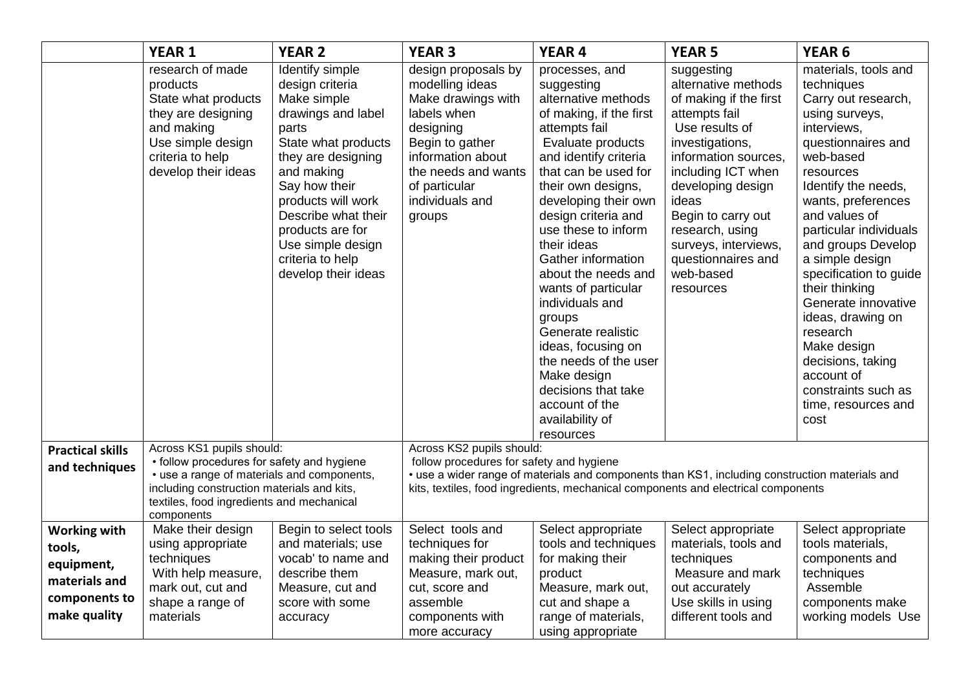|                                                                                               | <b>YEAR 1</b>                                                                                                                                                                                                                  | <b>YEAR 2</b>                                                                                                                                                                                                                                                                                 | <b>YEAR 3</b>                                                                                                                                                                                                                                                | <b>YEAR 4</b>                                                                                                                                                                                                                                                                                                                                                                                                                                                                                                                                  | <b>YEAR 5</b>                                                                                                                                                                                                                                                                                                  | <b>YEAR 6</b>                                                                                                                                                                                                                                                                                                                                                                                                                                                                           |  |
|-----------------------------------------------------------------------------------------------|--------------------------------------------------------------------------------------------------------------------------------------------------------------------------------------------------------------------------------|-----------------------------------------------------------------------------------------------------------------------------------------------------------------------------------------------------------------------------------------------------------------------------------------------|--------------------------------------------------------------------------------------------------------------------------------------------------------------------------------------------------------------------------------------------------------------|------------------------------------------------------------------------------------------------------------------------------------------------------------------------------------------------------------------------------------------------------------------------------------------------------------------------------------------------------------------------------------------------------------------------------------------------------------------------------------------------------------------------------------------------|----------------------------------------------------------------------------------------------------------------------------------------------------------------------------------------------------------------------------------------------------------------------------------------------------------------|-----------------------------------------------------------------------------------------------------------------------------------------------------------------------------------------------------------------------------------------------------------------------------------------------------------------------------------------------------------------------------------------------------------------------------------------------------------------------------------------|--|
|                                                                                               | research of made<br>products<br>State what products<br>they are designing<br>and making<br>Use simple design<br>criteria to help<br>develop their ideas                                                                        | Identify simple<br>design criteria<br>Make simple<br>drawings and label<br>parts<br>State what products<br>they are designing<br>and making<br>Say how their<br>products will work<br>Describe what their<br>products are for<br>Use simple design<br>criteria to help<br>develop their ideas | design proposals by<br>modelling ideas<br>Make drawings with<br>labels when<br>designing<br>Begin to gather<br>information about<br>the needs and wants<br>of particular<br>individuals and<br>groups                                                        | processes, and<br>suggesting<br>alternative methods<br>of making, if the first<br>attempts fail<br>Evaluate products<br>and identify criteria<br>that can be used for<br>their own designs,<br>developing their own<br>design criteria and<br>use these to inform<br>their ideas<br>Gather information<br>about the needs and<br>wants of particular<br>individuals and<br>groups<br>Generate realistic<br>ideas, focusing on<br>the needs of the user<br>Make design<br>decisions that take<br>account of the<br>availability of<br>resources | suggesting<br>alternative methods<br>of making if the first<br>attempts fail<br>Use results of<br>investigations,<br>information sources,<br>including ICT when<br>developing design<br>ideas<br>Begin to carry out<br>research, using<br>surveys, interviews,<br>questionnaires and<br>web-based<br>resources | materials, tools and<br>techniques<br>Carry out research,<br>using surveys,<br>interviews,<br>questionnaires and<br>web-based<br>resources<br>Identify the needs,<br>wants, preferences<br>and values of<br>particular individuals<br>and groups Develop<br>a simple design<br>specification to guide<br>their thinking<br>Generate innovative<br>ideas, drawing on<br>research<br>Make design<br>decisions, taking<br>account of<br>constraints such as<br>time, resources and<br>cost |  |
| <b>Practical skills</b><br>and techniques                                                     | Across KS1 pupils should:<br>• follow procedures for safety and hygiene<br>• use a range of materials and components,<br>including construction materials and kits,<br>textiles, food ingredients and mechanical<br>components |                                                                                                                                                                                                                                                                                               | Across KS2 pupils should:<br>follow procedures for safety and hygiene<br>• use a wider range of materials and components than KS1, including construction materials and<br>kits, textiles, food ingredients, mechanical components and electrical components |                                                                                                                                                                                                                                                                                                                                                                                                                                                                                                                                                |                                                                                                                                                                                                                                                                                                                |                                                                                                                                                                                                                                                                                                                                                                                                                                                                                         |  |
| <b>Working with</b><br>tools,<br>equipment,<br>materials and<br>components to<br>make quality | Make their design<br>using appropriate<br>techniques<br>With help measure,<br>mark out, cut and<br>shape a range of<br>materials                                                                                               | Begin to select tools<br>and materials; use<br>vocab' to name and<br>describe them<br>Measure, cut and<br>score with some<br>accuracy                                                                                                                                                         | Select tools and<br>techniques for<br>making their product<br>Measure, mark out,<br>cut, score and<br>assemble<br>components with<br>more accuracy                                                                                                           | Select appropriate<br>tools and techniques<br>for making their<br>product<br>Measure, mark out,<br>cut and shape a<br>range of materials,<br>using appropriate                                                                                                                                                                                                                                                                                                                                                                                 | Select appropriate<br>materials, tools and<br>techniques<br>Measure and mark<br>out accurately<br>Use skills in using<br>different tools and                                                                                                                                                                   | Select appropriate<br>tools materials,<br>components and<br>techniques<br>Assemble<br>components make<br>working models Use                                                                                                                                                                                                                                                                                                                                                             |  |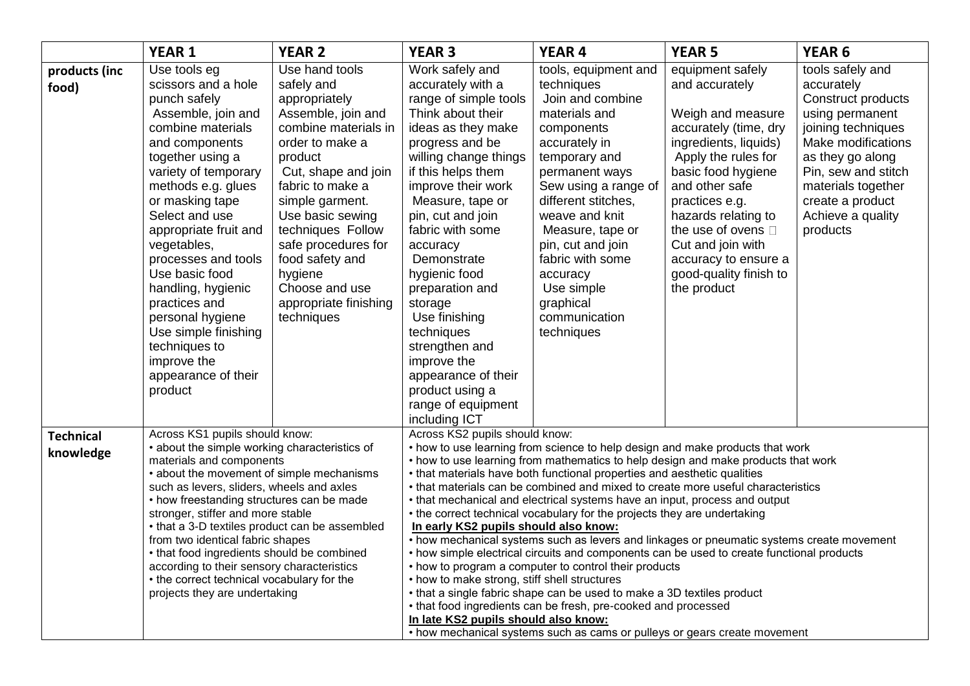|                               | <b>YEAR 1</b>                                                                                                                                                                                                                                                                                                                                                                                                                                                                                                                                            | <b>YEAR 2</b>                                                                                                                                                                                                                                                                                                                                  | <b>YEAR 3</b>                                                                                                                                                                                                                                                                                                                                                                                                                                                                                                                                                                                                                                                                                                                                                                                                                                                                                                                                                                                                                                                                                                                               | <b>YEAR 4</b>                                                                                                                                                                                                                                                                                                                                 | <b>YEAR 5</b>                                                                                                                                                                                                                                                                                                                 | YEAR <sub>6</sub>                                                                                                                                                                                                                         |  |
|-------------------------------|----------------------------------------------------------------------------------------------------------------------------------------------------------------------------------------------------------------------------------------------------------------------------------------------------------------------------------------------------------------------------------------------------------------------------------------------------------------------------------------------------------------------------------------------------------|------------------------------------------------------------------------------------------------------------------------------------------------------------------------------------------------------------------------------------------------------------------------------------------------------------------------------------------------|---------------------------------------------------------------------------------------------------------------------------------------------------------------------------------------------------------------------------------------------------------------------------------------------------------------------------------------------------------------------------------------------------------------------------------------------------------------------------------------------------------------------------------------------------------------------------------------------------------------------------------------------------------------------------------------------------------------------------------------------------------------------------------------------------------------------------------------------------------------------------------------------------------------------------------------------------------------------------------------------------------------------------------------------------------------------------------------------------------------------------------------------|-----------------------------------------------------------------------------------------------------------------------------------------------------------------------------------------------------------------------------------------------------------------------------------------------------------------------------------------------|-------------------------------------------------------------------------------------------------------------------------------------------------------------------------------------------------------------------------------------------------------------------------------------------------------------------------------|-------------------------------------------------------------------------------------------------------------------------------------------------------------------------------------------------------------------------------------------|--|
| products (inc<br>food)        | Use tools eg<br>scissors and a hole<br>punch safely<br>Assemble, join and<br>combine materials<br>and components<br>together using a<br>variety of temporary<br>methods e.g. glues<br>or masking tape<br>Select and use<br>appropriate fruit and<br>vegetables,<br>processes and tools<br>Use basic food<br>handling, hygienic<br>practices and<br>personal hygiene<br>Use simple finishing<br>techniques to<br>improve the<br>appearance of their<br>product                                                                                            | Use hand tools<br>safely and<br>appropriately<br>Assemble, join and<br>combine materials in<br>order to make a<br>product<br>Cut, shape and join<br>fabric to make a<br>simple garment.<br>Use basic sewing<br>techniques Follow<br>safe procedures for<br>food safety and<br>hygiene<br>Choose and use<br>appropriate finishing<br>techniques | Work safely and<br>accurately with a<br>range of simple tools<br>Think about their<br>ideas as they make<br>progress and be<br>willing change things<br>if this helps them<br>improve their work<br>Measure, tape or<br>pin, cut and join<br>fabric with some<br>accuracy<br>Demonstrate<br>hygienic food<br>preparation and<br>storage<br>Use finishing<br>techniques<br>strengthen and<br>improve the<br>appearance of their<br>product using a<br>range of equipment<br>including ICT                                                                                                                                                                                                                                                                                                                                                                                                                                                                                                                                                                                                                                                    | tools, equipment and<br>techniques<br>Join and combine<br>materials and<br>components<br>accurately in<br>temporary and<br>permanent ways<br>Sew using a range of<br>different stitches,<br>weave and knit<br>Measure, tape or<br>pin, cut and join<br>fabric with some<br>accuracy<br>Use simple<br>graphical<br>communication<br>techniques | equipment safely<br>and accurately<br>Weigh and measure<br>accurately (time, dry<br>ingredients, liquids)<br>Apply the rules for<br>basic food hygiene<br>and other safe<br>practices e.g.<br>hazards relating to<br>the use of ovens D<br>Cut and join with<br>accuracy to ensure a<br>good-quality finish to<br>the product | tools safely and<br>accurately<br>Construct products<br>using permanent<br>joining techniques<br>Make modifications<br>as they go along<br>Pin, sew and stitch<br>materials together<br>create a product<br>Achieve a quality<br>products |  |
| <b>Technical</b><br>knowledge | Across KS1 pupils should know:<br>• about the simple working characteristics of<br>materials and components<br>• about the movement of simple mechanisms<br>such as levers, sliders, wheels and axles<br>• how freestanding structures can be made<br>stronger, stiffer and more stable<br>• that a 3-D textiles product can be assembled<br>from two identical fabric shapes<br>• that food ingredients should be combined<br>according to their sensory characteristics<br>• the correct technical vocabulary for the<br>projects they are undertaking |                                                                                                                                                                                                                                                                                                                                                | Across KS2 pupils should know:<br>• how to use learning from science to help design and make products that work<br>• how to use learning from mathematics to help design and make products that work<br>• that materials have both functional properties and aesthetic qualities<br>• that materials can be combined and mixed to create more useful characteristics<br>• that mechanical and electrical systems have an input, process and output<br>• the correct technical vocabulary for the projects they are undertaking<br>In early KS2 pupils should also know:<br>• how mechanical systems such as levers and linkages or pneumatic systems create movement<br>• how simple electrical circuits and components can be used to create functional products<br>• how to program a computer to control their products<br>• how to make strong, stiff shell structures<br>• that a single fabric shape can be used to make a 3D textiles product<br>• that food ingredients can be fresh, pre-cooked and processed<br>In late KS2 pupils should also know:<br>• how mechanical systems such as cams or pulleys or gears create movement |                                                                                                                                                                                                                                                                                                                                               |                                                                                                                                                                                                                                                                                                                               |                                                                                                                                                                                                                                           |  |